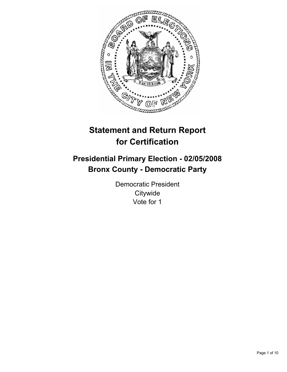

# **Statement and Return Report for Certification**

# **Presidential Primary Election - 02/05/2008 Bronx County - Democratic Party**

Democratic President **Citywide** Vote for 1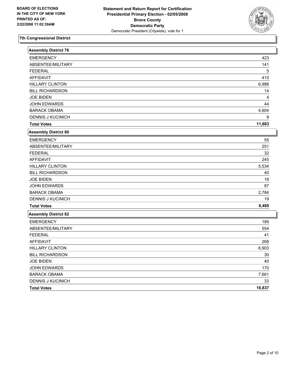

| <b>Assembly District 76</b> |        |
|-----------------------------|--------|
| <b>EMERGENCY</b>            | 423    |
| ABSENTEE/MILITARY           | 141    |
| <b>FEDERAL</b>              | 5      |
| <b>AFFIDAVIT</b>            | 410    |
| <b>HILLARY CLINTON</b>      | 6,988  |
| <b>BILL RICHARDSON</b>      | 14     |
| <b>JOE BIDEN</b>            | 4      |
| <b>JOHN EDWARDS</b>         | 44     |
| <b>BARACK OBAMA</b>         | 4,604  |
| <b>DENNIS J KUCINICH</b>    | 9      |
| <b>Total Votes</b>          | 11,663 |
| <b>Assembly District 80</b> |        |
| <b>EMERGENCY</b>            | 55     |
| ABSENTEE/MILITARY           | 251    |
| <b>FEDERAL</b>              | 32     |
| <b>AFFIDAVIT</b>            | 245    |
| <b>HILLARY CLINTON</b>      | 5,534  |
| <b>BILL RICHARDSON</b>      | 40     |
| <b>JOE BIDEN</b>            | 16     |
| <b>JOHN EDWARDS</b>         | 87     |
| <b>BARACK OBAMA</b>         | 2,784  |
| <b>DENNIS J KUCINICH</b>    | 19     |
| <b>Total Votes</b>          | 8,480  |
| <b>Assembly District 82</b> |        |
| <b>EMERGENCY</b>            | 189    |
| ABSENTEE/MILITARY           | 554    |
| <b>FEDERAL</b>              | 41     |
| <b>AFFIDAVIT</b>            | 268    |
| <b>HILLARY CLINTON</b>      | 8,903  |
| <b>BILL RICHARDSON</b>      | 30     |
| <b>JOE BIDEN</b>            | 40     |
| <b>JOHN EDWARDS</b>         | 170    |
| <b>BARACK OBAMA</b>         | 7,661  |
| <b>DENNIS J KUCINICH</b>    | 33     |
| <b>Total Votes</b>          | 16,837 |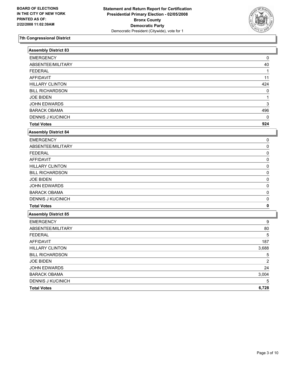

| <b>Assembly District 83</b> |                |
|-----------------------------|----------------|
| <b>EMERGENCY</b>            | 0              |
| ABSENTEE/MILITARY           | 40             |
| <b>FEDERAL</b>              | 1              |
| <b>AFFIDAVIT</b>            | 11             |
| <b>HILLARY CLINTON</b>      | 424            |
| <b>BILL RICHARDSON</b>      | 0              |
| <b>JOE BIDEN</b>            | 1              |
| JOHN EDWARDS                | 3              |
| <b>BARACK OBAMA</b>         | 496            |
| <b>DENNIS J KUCINICH</b>    | $\Omega$       |
| <b>Total Votes</b>          | 924            |
| Assembly District 84        |                |
| <b>EMERGENCY</b>            | 0              |
| ABSENTEE/MILITARY           | 0              |
| <b>FEDERAL</b>              | 0              |
| <b>AFFIDAVIT</b>            | $\Omega$       |
| <b>HILLARY CLINTON</b>      | 0              |
| <b>BILL RICHARDSON</b>      | 0              |
| <b>JOE BIDEN</b>            | 0              |
| <b>JOHN EDWARDS</b>         | 0              |
| <b>BARACK OBAMA</b>         | 0              |
| <b>DENNIS J KUCINICH</b>    | 0              |
| <b>Total Votes</b>          | 0              |
| Assembly District 85        |                |
| <b>EMERGENCY</b>            | 9              |
| ABSENTEE/MILITARY           | 80             |
| <b>FEDERAL</b>              | 5              |
| <b>AFFIDAVIT</b>            | 187            |
| <b>HILLARY CLINTON</b>      | 3,688          |
| <b>BILL RICHARDSON</b>      | 5              |
| <b>JOE BIDEN</b>            | $\overline{2}$ |
| JOHN EDWARDS                | 24             |
| <b>BARACK OBAMA</b>         | 3,004          |
| <b>DENNIS J KUCINICH</b>    | 5              |
| <b>Total Votes</b>          | 6,728          |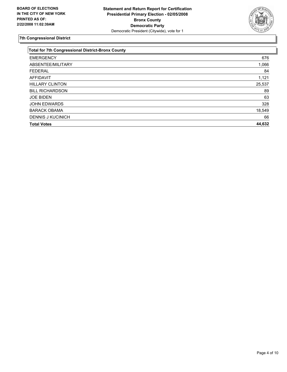

| <b>Total for 7th Congressional District-Bronx County</b> |        |
|----------------------------------------------------------|--------|
| <b>EMERGENCY</b>                                         | 676    |
| ABSENTEE/MILITARY                                        | 1,066  |
| <b>FEDERAL</b>                                           | 84     |
| AFFIDAVIT                                                | 1,121  |
| <b>HILLARY CLINTON</b>                                   | 25,537 |
| <b>BILL RICHARDSON</b>                                   | 89     |
| <b>JOE BIDEN</b>                                         | 63     |
| <b>JOHN EDWARDS</b>                                      | 328    |
| <b>BARACK OBAMA</b>                                      | 18,549 |
| <b>DENNIS J KUCINICH</b>                                 | 66     |
| <b>Total Votes</b>                                       | 44,632 |
|                                                          |        |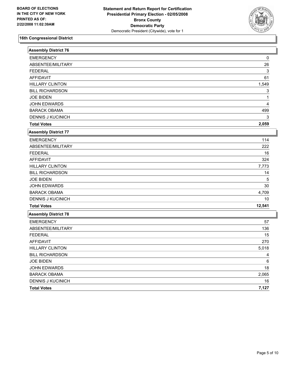

| <b>Assembly District 76</b> |        |
|-----------------------------|--------|
| <b>EMERGENCY</b>            | 0      |
| ABSENTEE/MILITARY           | 26     |
| <b>FEDERAL</b>              | 3      |
| <b>AFFIDAVIT</b>            | 61     |
| <b>HILLARY CLINTON</b>      | 1,549  |
| <b>BILL RICHARDSON</b>      | 3      |
| <b>JOE BIDEN</b>            | 1      |
| JOHN EDWARDS                | 4      |
| <b>BARACK OBAMA</b>         | 499    |
| <b>DENNIS J KUCINICH</b>    | 3      |
| <b>Total Votes</b>          | 2,059  |
| <b>Assembly District 77</b> |        |
| <b>EMERGENCY</b>            | 114    |
| ABSENTEE/MILITARY           | 222    |
| <b>FEDERAL</b>              | 16     |
| <b>AFFIDAVIT</b>            | 324    |
| <b>HILLARY CLINTON</b>      | 7,773  |
| <b>BILL RICHARDSON</b>      | 14     |
| <b>JOE BIDEN</b>            | 5      |
| JOHN EDWARDS                | 30     |
| <b>BARACK OBAMA</b>         | 4,709  |
| <b>DENNIS J KUCINICH</b>    | 10     |
| <b>Total Votes</b>          | 12,541 |
| <b>Assembly District 78</b> |        |
| <b>EMERGENCY</b>            | 57     |
| ABSENTEE/MILITARY           | 136    |
| <b>FEDERAL</b>              | 15     |
| <b>AFFIDAVIT</b>            | 270    |
| <b>HILLARY CLINTON</b>      | 5,018  |
| <b>BILL RICHARDSON</b>      | 4      |
| <b>JOE BIDEN</b>            | 6      |
| <b>JOHN EDWARDS</b>         | 18     |
| <b>BARACK OBAMA</b>         | 2,065  |
| <b>DENNIS J KUCINICH</b>    | 16     |
| <b>Total Votes</b>          | 7,127  |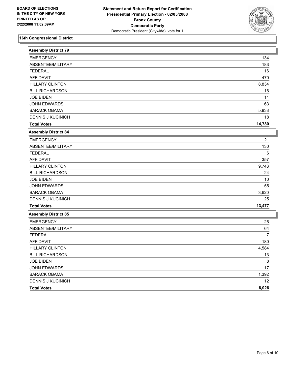

| <b>Assembly District 79</b> |                |
|-----------------------------|----------------|
| <b>EMERGENCY</b>            | 134            |
| ABSENTEE/MILITARY           | 183            |
| <b>FEDERAL</b>              | 16             |
| <b>AFFIDAVIT</b>            | 470            |
| <b>HILLARY CLINTON</b>      | 8,834          |
| <b>BILL RICHARDSON</b>      | 16             |
| <b>JOE BIDEN</b>            | 11             |
| JOHN EDWARDS                | 63             |
| <b>BARACK OBAMA</b>         | 5,838          |
| <b>DENNIS J KUCINICH</b>    | 18             |
| <b>Total Votes</b>          | 14,780         |
| <b>Assembly District 84</b> |                |
| <b>EMERGENCY</b>            | 21             |
| ABSENTEE/MILITARY           | 130            |
| <b>FEDERAL</b>              | 6              |
| <b>AFFIDAVIT</b>            | 357            |
| <b>HILLARY CLINTON</b>      | 9,743          |
| <b>BILL RICHARDSON</b>      | 24             |
| <b>JOE BIDEN</b>            | 10             |
| <b>JOHN EDWARDS</b>         | 55             |
| <b>BARACK OBAMA</b>         | 3,620          |
| <b>DENNIS J KUCINICH</b>    | 25             |
| <b>Total Votes</b>          | 13,477         |
| Assembly District 85        |                |
| <b>EMERGENCY</b>            | 26             |
| ABSENTEE/MILITARY           | 64             |
| <b>FEDERAL</b>              | $\overline{7}$ |
| <b>AFFIDAVIT</b>            | 180            |
| <b>HILLARY CLINTON</b>      | 4,584          |
| <b>BILL RICHARDSON</b>      | 13             |
| <b>JOE BIDEN</b>            | 8              |
| <b>JOHN EDWARDS</b>         | 17             |
| <b>BARACK OBAMA</b>         | 1,392          |
| <b>DENNIS J KUCINICH</b>    | 12             |
| <b>Total Votes</b>          | 6,026          |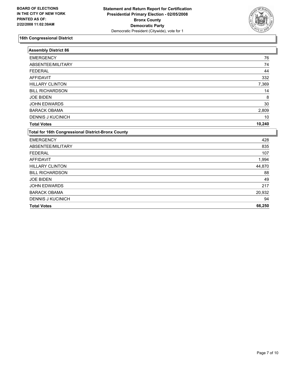

| <b>Assembly District 86</b>                               |        |
|-----------------------------------------------------------|--------|
| <b>EMERGENCY</b>                                          | 76     |
| ABSENTEE/MILITARY                                         | 74     |
| <b>FEDERAL</b>                                            | 44     |
| <b>AFFIDAVIT</b>                                          | 332    |
| <b>HILLARY CLINTON</b>                                    | 7,369  |
| <b>BILL RICHARDSON</b>                                    | 14     |
| <b>JOE BIDEN</b>                                          | 8      |
| <b>JOHN EDWARDS</b>                                       | 30     |
| <b>BARACK OBAMA</b>                                       | 2,809  |
| <b>DENNIS J KUCINICH</b>                                  | 10     |
| <b>Total Votes</b>                                        | 10,240 |
| <b>Total for 16th Congressional District-Bronx County</b> |        |
| <b>EMERGENCY</b>                                          | 428    |
| ABSENTEE/MILITARY                                         | 835    |
| <b>FEDERAL</b>                                            | 107    |
| <b>AFFIDAVIT</b>                                          | 1,994  |
| <b>HILLARY CLINTON</b>                                    | 44,870 |
| <b>BILL RICHARDSON</b>                                    | 88     |
| <b>JOE BIDEN</b>                                          | 49     |
| <b>JOHN EDWARDS</b>                                       | 217    |
| <b>BARACK OBAMA</b>                                       | 20,932 |
| <b>DENNIS J KUCINICH</b>                                  | 94     |
| <b>Total Votes</b>                                        | 66,250 |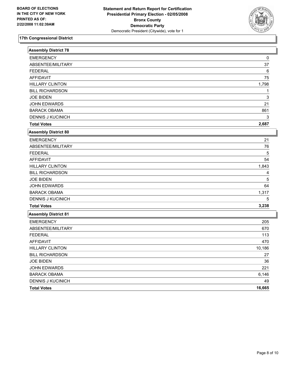

| <b>Assembly District 78</b> |        |
|-----------------------------|--------|
| <b>EMERGENCY</b>            | 0      |
| ABSENTEE/MILITARY           | 37     |
| <b>FEDERAL</b>              | 6      |
| <b>AFFIDAVIT</b>            | 75     |
| <b>HILLARY CLINTON</b>      | 1,798  |
| <b>BILL RICHARDSON</b>      | 1      |
| <b>JOE BIDEN</b>            | 3      |
| <b>JOHN EDWARDS</b>         | 21     |
| <b>BARACK OBAMA</b>         | 861    |
| <b>DENNIS J KUCINICH</b>    | 3      |
| <b>Total Votes</b>          | 2,687  |
| Assembly District 80        |        |
| <b>EMERGENCY</b>            | 21     |
| ABSENTEE/MILITARY           | 76     |
| <b>FEDERAL</b>              | 5      |
| <b>AFFIDAVIT</b>            | 54     |
| <b>HILLARY CLINTON</b>      | 1,843  |
| <b>BILL RICHARDSON</b>      | 4      |
| <b>JOE BIDEN</b>            | 5      |
| JOHN EDWARDS                | 64     |
| <b>BARACK OBAMA</b>         | 1,317  |
| <b>DENNIS J KUCINICH</b>    | 5      |
| <b>Total Votes</b>          | 3,238  |
| <b>Assembly District 81</b> |        |
| <b>EMERGENCY</b>            | 205    |
| ABSENTEE/MILITARY           | 670    |
| <b>FEDERAL</b>              | 113    |
| <b>AFFIDAVIT</b>            | 470    |
| <b>HILLARY CLINTON</b>      | 10,186 |
| <b>BILL RICHARDSON</b>      | 27     |
| <b>JOE BIDEN</b>            | 36     |
| JOHN EDWARDS                | 221    |
| <b>BARACK OBAMA</b>         | 6,146  |
| <b>DENNIS J KUCINICH</b>    | 49     |
| <b>Total Votes</b>          | 16,665 |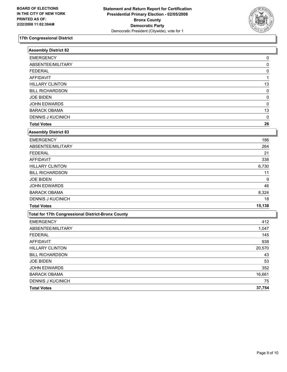

| <b>Assembly District 82</b>                               |          |
|-----------------------------------------------------------|----------|
| <b>EMERGENCY</b>                                          | 0        |
| ABSENTEE/MILITARY                                         | 0        |
| <b>FEDERAL</b>                                            | 0        |
| <b>AFFIDAVIT</b>                                          | 1        |
| <b>HILLARY CLINTON</b>                                    | 13       |
| <b>BILL RICHARDSON</b>                                    | 0        |
| <b>JOE BIDEN</b>                                          | $\Omega$ |
| <b>JOHN EDWARDS</b>                                       | 0        |
| <b>BARACK OBAMA</b>                                       | 13       |
| <b>DENNIS J KUCINICH</b>                                  | $\Omega$ |
| <b>Total Votes</b>                                        | 26       |
| <b>Assembly District 83</b>                               |          |
| <b>EMERGENCY</b>                                          | 186      |
| ABSENTEE/MILITARY                                         | 264      |
| <b>FEDERAL</b>                                            | 21       |
| <b>AFFIDAVIT</b>                                          | 338      |
| <b>HILLARY CLINTON</b>                                    | 6,730    |
| <b>BILL RICHARDSON</b>                                    | 11       |
| <b>JOE BIDEN</b>                                          | 9        |
| <b>JOHN EDWARDS</b>                                       | 46       |
| <b>BARACK OBAMA</b>                                       | 8,324    |
| <b>DENNIS J KUCINICH</b>                                  | 18       |
| <b>Total Votes</b>                                        | 15,138   |
| <b>Total for 17th Congressional District-Bronx County</b> |          |
| <b>EMERGENCY</b>                                          | 412      |
| ABSENTEE/MILITARY                                         | 1,047    |
| <b>FEDERAL</b>                                            | 145      |
| <b>AFFIDAVIT</b>                                          | 938      |
| <b>HILLARY CLINTON</b>                                    | 20,570   |
| <b>BILL RICHARDSON</b>                                    | 43       |
| <b>JOE BIDEN</b>                                          | 53       |
| JOHN EDWARDS                                              | 352      |
| <b>BARACK OBAMA</b>                                       | 16,661   |
| <b>DENNIS J KUCINICH</b>                                  | 75       |
| <b>Total Votes</b>                                        | 37,754   |
|                                                           |          |